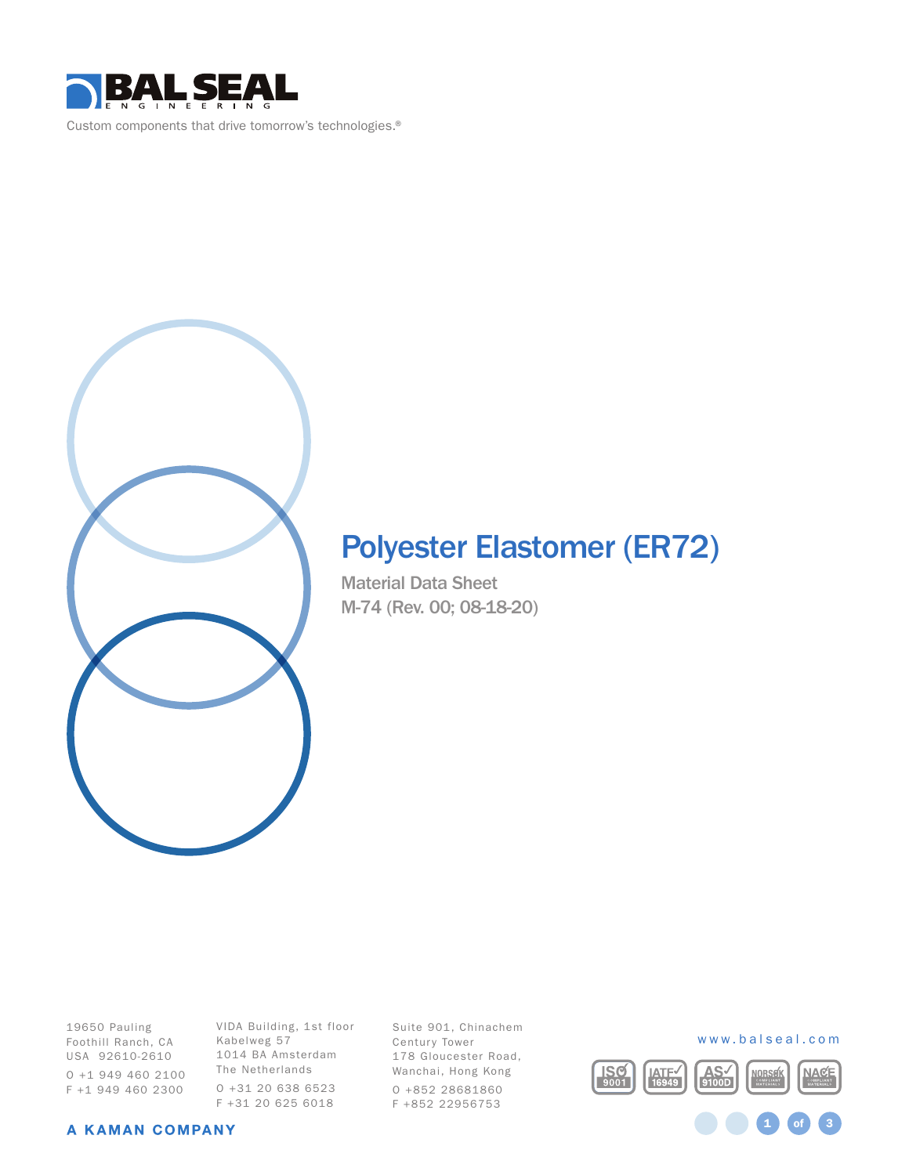

# Polyester Elastomer (ER72)

Material Data Sheet M-74 (Rev. 00; 08-18-20)

19650 Pauling Foothill Ranch, CA USA 92610-2610 O +1 949 460 2100 F +1 949 460 2300

VIDA Building, 1st floor Kabelweg 57 1014 BA Amsterdam The Netherlands O +31 20 638 6523 F +31 20 625 6018

Suite 901, Chinachem Century Tower 178 Gloucester Road, Wanchai, Hong Kong O +852 28681860 F +852 22956753



1 **of** 3

#### A KAMAN COMPANY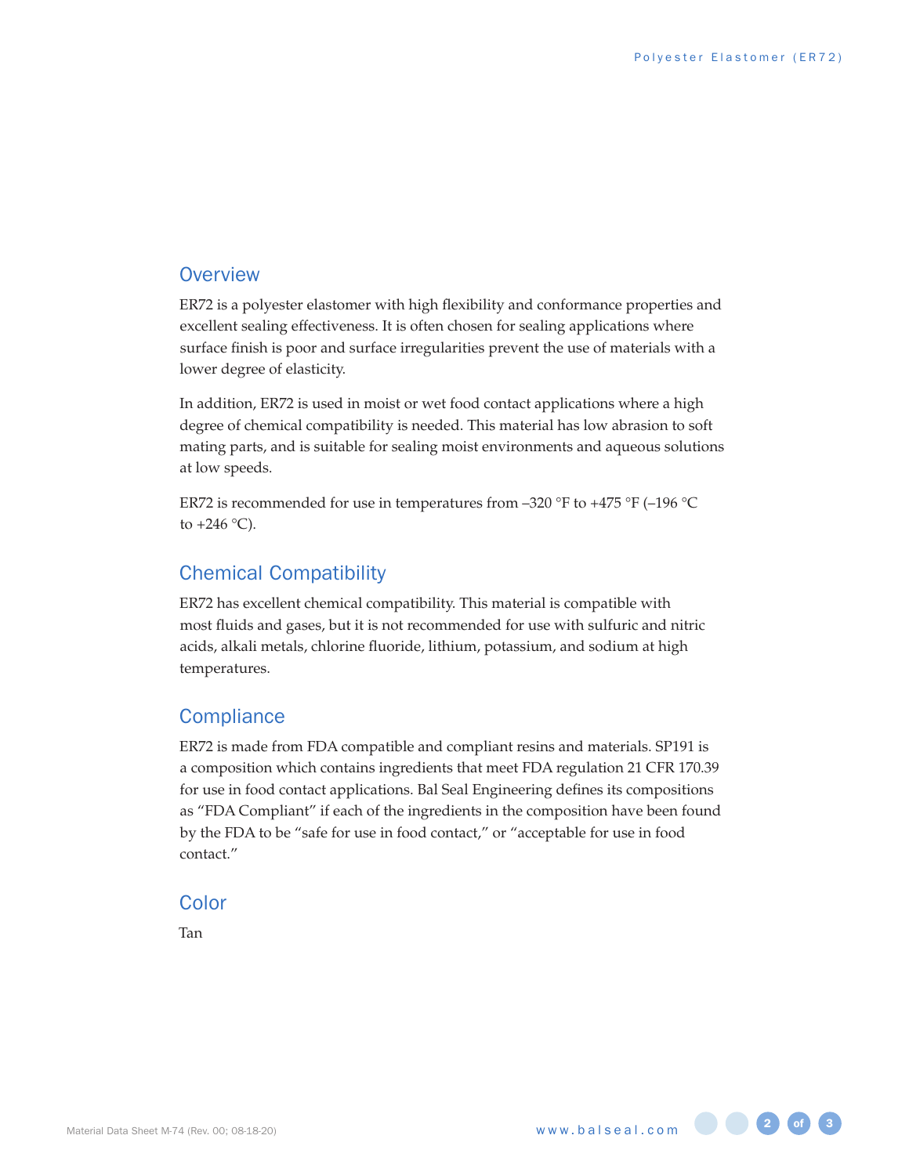## **Overview**

ER72 is a polyester elastomer with high flexibility and conformance properties and excellent sealing effectiveness. It is often chosen for sealing applications where surface finish is poor and surface irregularities prevent the use of materials with a lower degree of elasticity.

In addition, ER72 is used in moist or wet food contact applications where a high degree of chemical compatibility is needed. This material has low abrasion to soft mating parts, and is suitable for sealing moist environments and aqueous solutions at low speeds.

ER72 is recommended for use in temperatures from –320 °F to +475 °F (–196 °C to  $+246$  °C).

# Chemical Compatibility

ER72 has excellent chemical compatibility. This material is compatible with most fluids and gases, but it is not recommended for use with sulfuric and nitric acids, alkali metals, chlorine fluoride, lithium, potassium, and sodium at high temperatures.

# **Compliance**

ER72 is made from FDA compatible and compliant resins and materials. SP191 is a composition which contains ingredients that meet FDA regulation 21 CFR 170.39 for use in food contact applications. Bal Seal Engineering defines its compositions as "FDA Compliant" if each of the ingredients in the composition have been found by the FDA to be "safe for use in food contact," or "acceptable for use in food contact."

#### Color

Tan